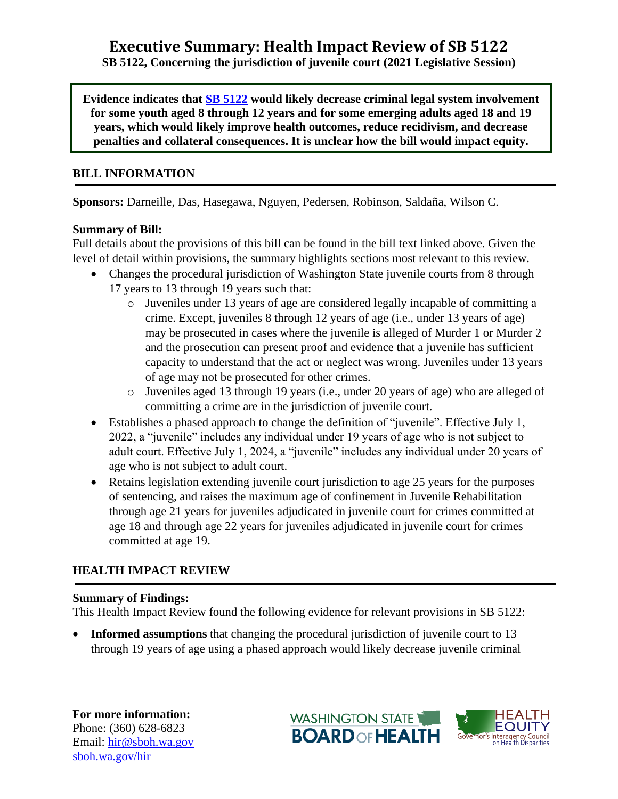# **Executive Summary: Health Impact Review of SB 5122**

**SB 5122, Concerning the jurisdiction of juvenile court (2021 Legislative Session)**

**Evidence indicates that [SB 5122](http://lawfilesext.leg.wa.gov/biennium/2021-22/Pdf/Bills/Senate%20Bills/5122.pdf?q=20210115135717) would likely decrease criminal legal system involvement for some youth aged 8 through 12 years and for some emerging adults aged 18 and 19 years, which would likely improve health outcomes, reduce recidivism, and decrease penalties and collateral consequences. It is unclear how the bill would impact equity.**

#### **BILL INFORMATION**

**Sponsors:** Darneille, Das, Hasegawa, Nguyen, Pedersen, Robinson, Saldaña, Wilson C.

### **Summary of Bill:**

Full details about the provisions of this bill can be found in the bill text linked above. Given the level of detail within provisions, the summary highlights sections most relevant to this review.

- Changes the procedural jurisdiction of Washington State juvenile courts from 8 through 17 years to 13 through 19 years such that:
	- o Juveniles under 13 years of age are considered legally incapable of committing a crime. Except, juveniles 8 through 12 years of age (i.e., under 13 years of age) may be prosecuted in cases where the juvenile is alleged of Murder 1 or Murder 2 and the prosecution can present proof and evidence that a juvenile has sufficient capacity to understand that the act or neglect was wrong. Juveniles under 13 years of age may not be prosecuted for other crimes.
	- o Juveniles aged 13 through 19 years (i.e., under 20 years of age) who are alleged of committing a crime are in the jurisdiction of juvenile court.
- Establishes a phased approach to change the definition of "juvenile". Effective July 1, 2022, a "juvenile" includes any individual under 19 years of age who is not subject to adult court. Effective July 1, 2024, a "juvenile" includes any individual under 20 years of age who is not subject to adult court.
- Retains legislation extending juvenile court jurisdiction to age 25 years for the purposes of sentencing, and raises the maximum age of confinement in Juvenile Rehabilitation through age 21 years for juveniles adjudicated in juvenile court for crimes committed at age 18 and through age 22 years for juveniles adjudicated in juvenile court for crimes committed at age 19.

## **HEALTH IMPACT REVIEW**

#### **Summary of Findings:**

This Health Impact Review found the following evidence for relevant provisions in SB 5122:

**Informed assumptions** that changing the procedural jurisdiction of juvenile court to 13 through 19 years of age using a phased approach would likely decrease juvenile criminal

**For more information:** Phone: (360) 628-6823 Email: [hir@sboh.wa.gov](mailto:hir@sboh.wa.gov) [sboh.wa.gov/](http://sboh.wa.gov/)hir